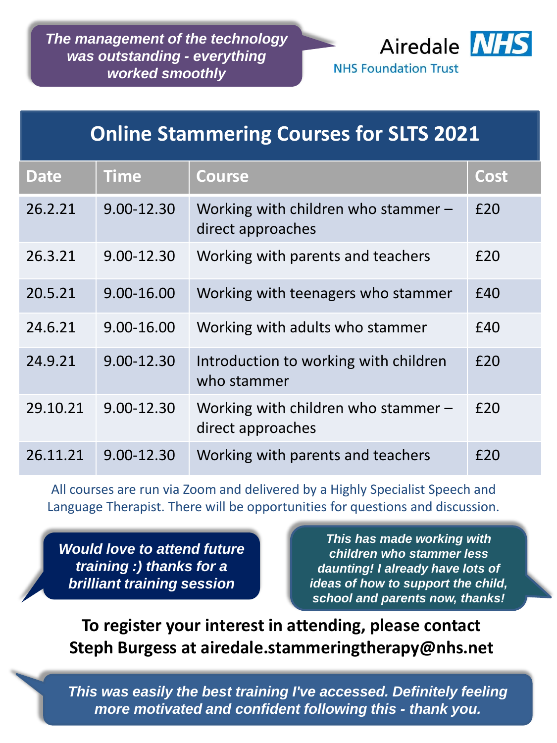*The management of the technology was outstanding - everything worked smoothly* 



# **Online Stammering Courses for SLTS 2021**

| <b>Date</b> | <b>Time</b> | <b>Course</b>                                              | <b>Cost</b> |
|-------------|-------------|------------------------------------------------------------|-------------|
| 26.2.21     | 9.00-12.30  | Working with children who stammer $-$<br>direct approaches | £20         |
| 26.3.21     | 9.00-12.30  | Working with parents and teachers                          | £20         |
| 20.5.21     | 9.00-16.00  | Working with teenagers who stammer                         | £40         |
| 24.6.21     | 9.00-16.00  | Working with adults who stammer                            | £40         |
| 24.9.21     | 9.00-12.30  | Introduction to working with children<br>who stammer       | £20         |
| 29.10.21    | 9.00-12.30  | Working with children who stammer $-$<br>direct approaches | £20         |
| 26.11.21    | 9.00-12.30  | Working with parents and teachers                          | f20         |

All courses are run via Zoom and delivered by a Highly Specialist Speech and Language Therapist. There will be opportunities for questions and discussion.

*Would love to attend future training :) thanks for a brilliant training session*

*This has made working with children who stammer less daunting! I already have lots of ideas of how to support the child, school and parents now, thanks!*

**To register your interest in attending, please contact Steph Burgess at airedale.stammeringtherapy@nhs.net**

*This was easily the best training I've accessed. Definitely feeling more motivated and confident following this - thank you.*